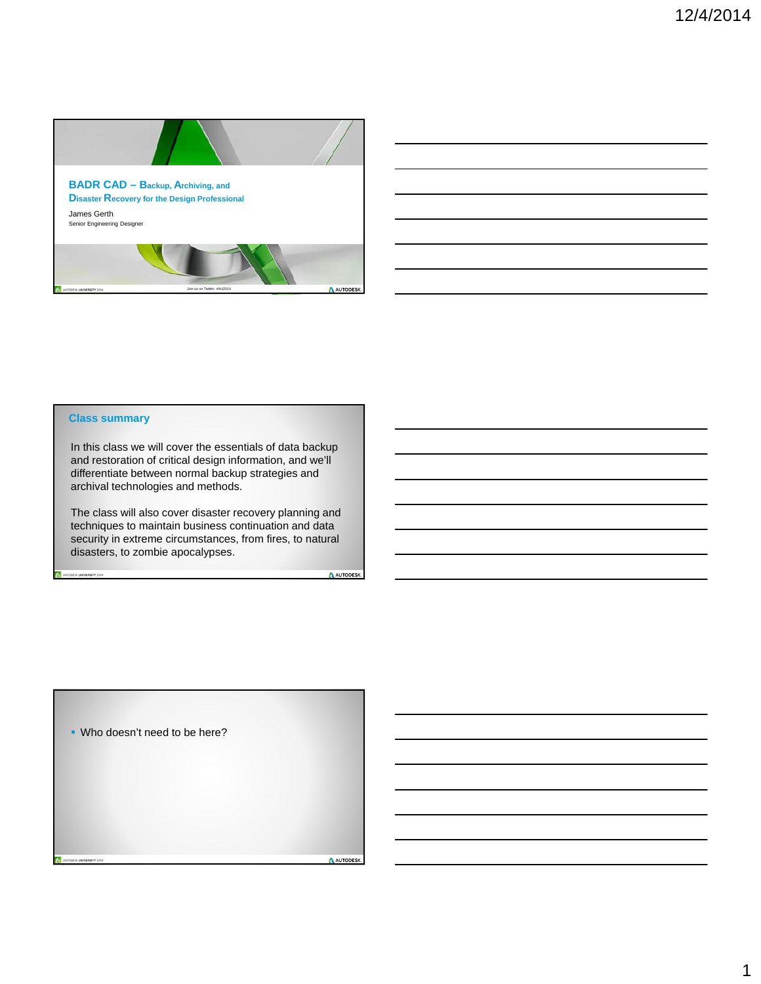

| <u> 1989 - Andrea Andrew Maria (h. 1989).</u>                                                                         |  |  |
|-----------------------------------------------------------------------------------------------------------------------|--|--|
| ,我们也不会有什么。""我们的人,我们也不会有什么?""我们的人,我们也不会有什么?""我们的人,我们的人,我们也不会有什么?""我们的人,我们的人,我们也不会                                      |  |  |
| <u> 1989 - Johann Stoff, deutscher Stoffen und der Stoffen und der Stoffen und der Stoffen und der Stoffen und de</u> |  |  |
| <u> 1989 - Johann Stoff, deutscher Stoff, der Stoff, der Stoff, der Stoff, der Stoff, der Stoff, der Stoff, der S</u> |  |  |
| <u> 1989 - Jan Samuel Barbara, margaret e a seu a componente de la propia de la propia de la propia de la propia</u>  |  |  |
| <u> 1989 - Andrea Santa Andrea Andrea Andrea Andrea Andrea Andrea Andrea Andrea Andrea Andrea Andrea Andrea Andr</u>  |  |  |
|                                                                                                                       |  |  |

#### **Class summary**

TODESK UNIVERSITY 2014

**NIVERSITY 2014** 

In this class we will cover the essentials of data backup and restoration of critical design information, and we'll differentiate between normal backup strategies and archival technologies and methods.

The class will also cover disaster recovery planning and techniques to maintain business continuation and data security in extreme circumstances, from fires, to natural disasters, to zombie apocalypses.

A AUTODESK

**Who doesn't need to be here?**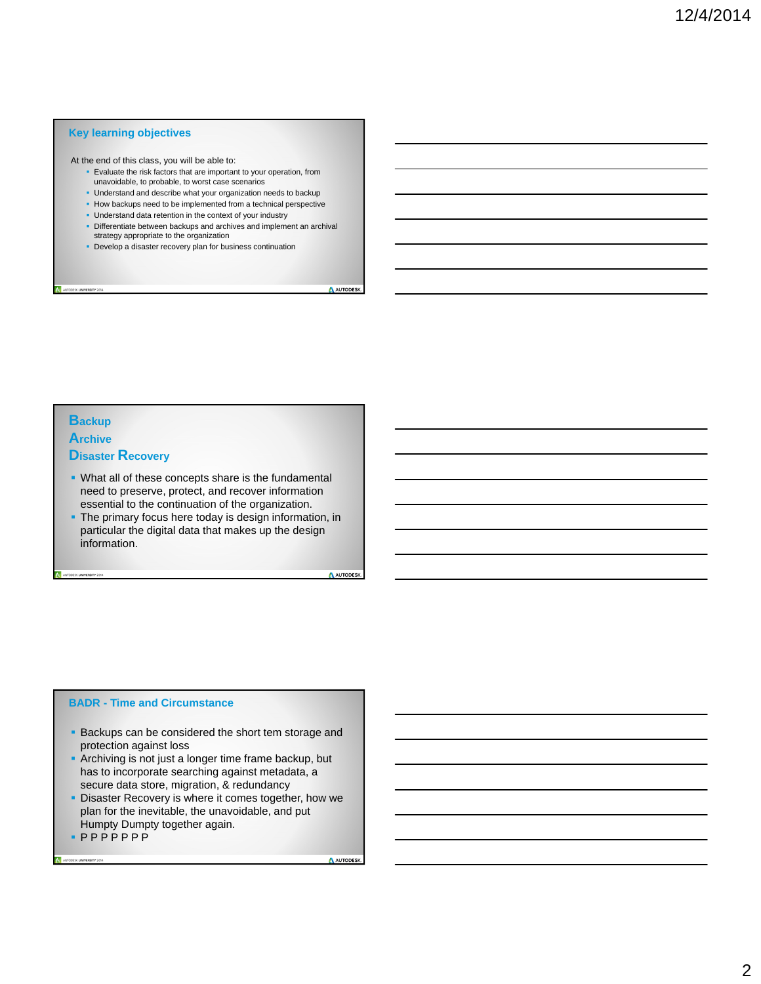#### **Key learning objectives**

At the end of this class, you will be able to:

- **Evaluate the risk factors that are important to your operation, from** unavoidable, to probable, to worst case scenarios
- **Understand and describe what your organization needs to backup**
- How backups need to be implemented from a technical perspective
- Understand data retention in the context of your industry
- Differentiate between backups and archives and implement an archival strategy appropriate to the organization
- Develop a disaster recovery plan for business continuation

AUTODESK.

#### **Backup**

DDESK UNIVERSITY 2014

**Archive** 

#### **Disaster Recovery**

- What all of these concepts share is the fundamental need to preserve, protect, and recover information essential to the continuation of the organization.
- The primary focus here today is design information, in particular the digital data that makes up the design information.

A AUTODESK

#### **BADR - Time and Circumstance**

- **Backups can be considered the short tem storage and** protection against loss
- Archiving is not just a longer time frame backup, but has to incorporate searching against metadata, a secure data store, migration, & redundancy
- **Disaster Recovery is where it comes together, how we** plan for the inevitable, the unavoidable, and put Humpty Dumpty together again.
- $\n **PPPPPPP**\n$

AUTODESK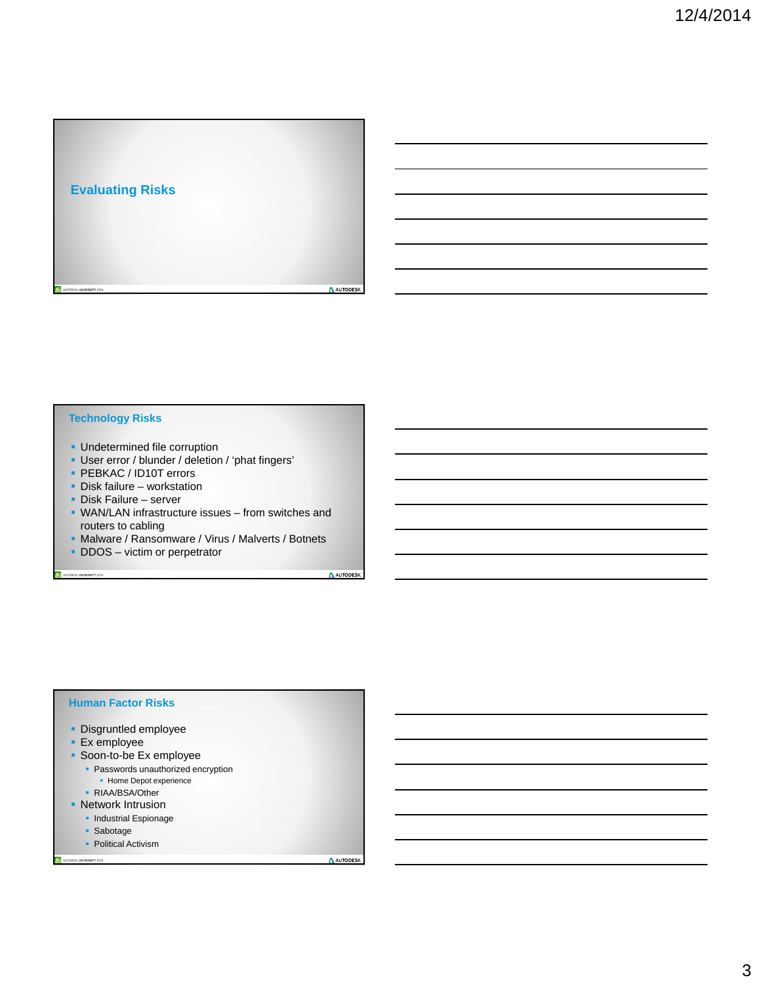

#### **Technology Risks**

- **-** Undetermined file corruption
- User error / blunder / deletion / 'phat fingers'
- **PEBKAC / ID10T errors**
- **Disk failure workstation**
- Disk Failure server

UTODESK UNIVERSITY 2014

- WAN/LAN infrastructure issues from switches and routers to cabling
- **Malware / Ransomware / Virus / Malverts / Botnets**
- **DDOS** victim or perpetrator

A AUTODESK

#### **Human Factor Risks**

- **Disgruntled employee**
- **Ex** employee
- Soon-to-be Ex employee
	- **Passwords unauthorized encryption** 
		- Home Depot experience
	- · RIAA/BSA/Other
- **Network Intrusion** 
	- Industrial Espionage
	- Sabotage

UNIVERSITY 2014

• Political Activism

AUTODESK.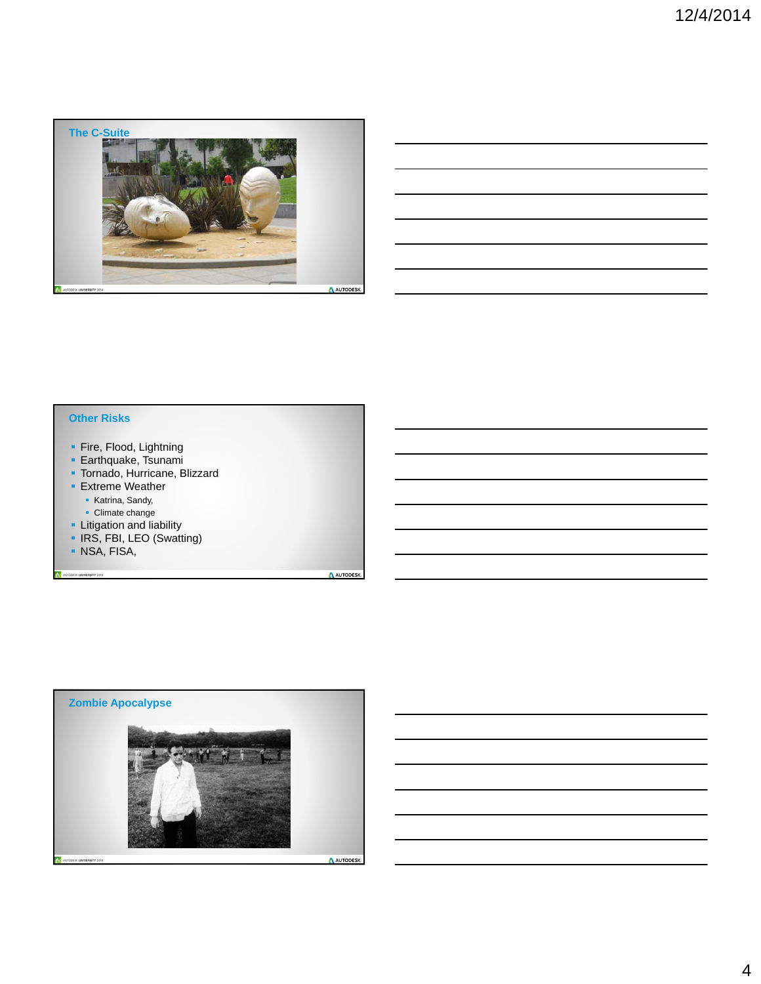

### **Other Risks**

- Fire, Flood, Lightning
- **Earthquake, Tsunami**
- **Tornado, Hurricane, Blizzard**
- **Extreme Weather** 
	- **Katrina, Sandy,**
	- **Climate change**
- **-** Litigation and liability
- **IRS, FBI, LEO (Swatting)**
- NSA, FISA,

UTODESK UNIVERSITY 2014

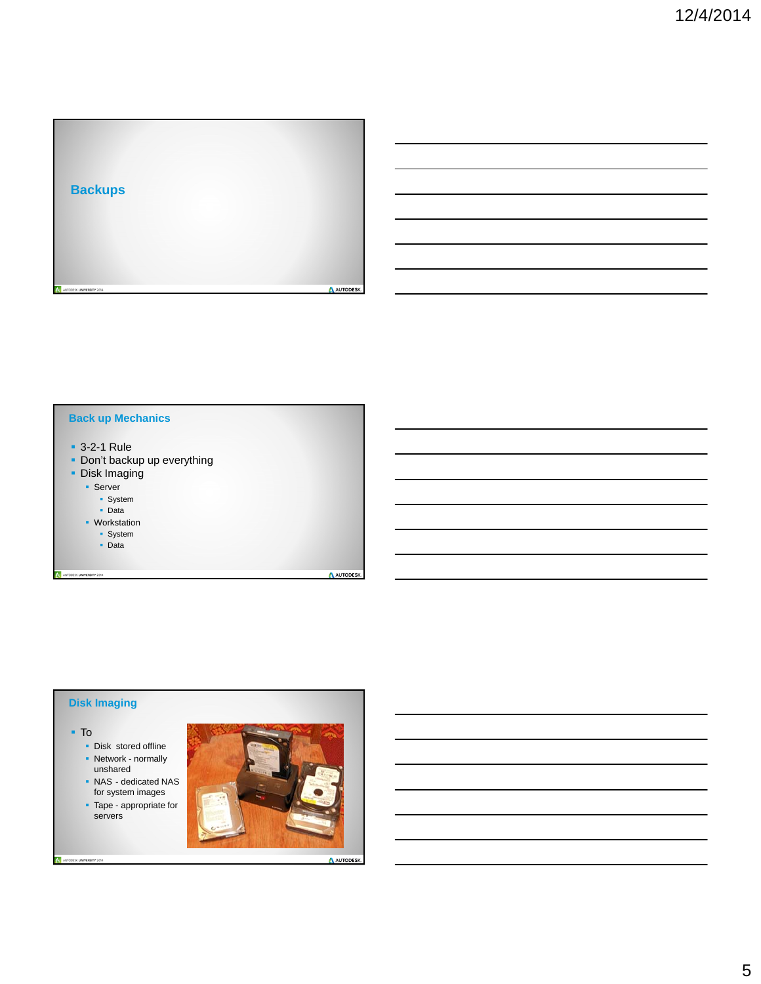

#### **Back up Mechanics**

- 3-2-1 Rule
- **-** Don't backup up everything
- **Disk Imaging** 
	- **Server** 
		- **System**
		- **Data**
	- **Workstation** 
		- System
		- Data
- AUTODESK UNIVERSITY 2014

#### **Disk Imaging**

To

ESK UNIVERSITY 2014

- Disk stored offline • Network - normally unshared
- NAS dedicated NAS for system images
- Tape appropriate for servers



AUTODESK.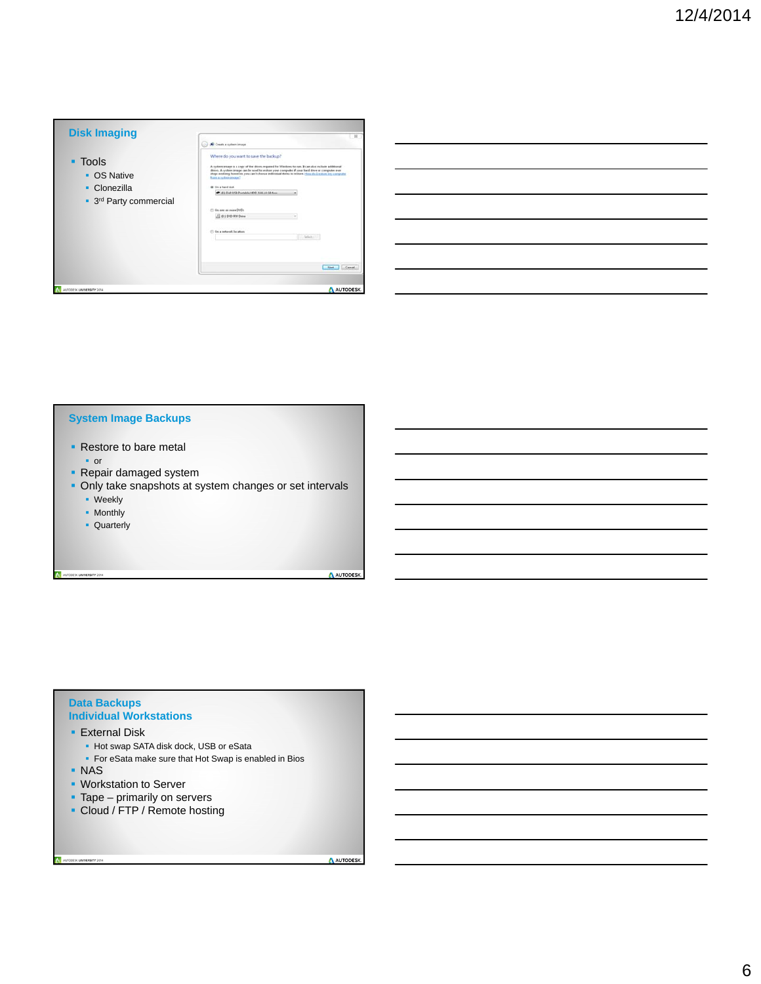| <b>Disk Imaging</b>                    | Create a system image                                                                                                                                                                                                                                                                                                                                                                                                                                     |  |  |  |  |
|----------------------------------------|-----------------------------------------------------------------------------------------------------------------------------------------------------------------------------------------------------------------------------------------------------------------------------------------------------------------------------------------------------------------------------------------------------------------------------------------------------------|--|--|--|--|
| • Tools<br>• OS Native<br>• Clonezilla | Where do you want to save the backup?<br>A system awage is a copy of the drives required for Wesdows to run. It can also exclude additional<br>drives. A system insure cars he speed to restore your computer if your hand down or computer ever<br>stage weeking however, you can't choose individual items to reduce. How do Locators on computer<br><b>Russia a nethern image?</b><br>@ On a hard doll<br>C. (8) Delt USB Purtable HOD: S&A 14 GB from |  |  |  |  |
| • 3 <sup>rd</sup> Party commercial     | (7) On now as major DVDs.<br>El di 1 DVD EN Deve                                                                                                                                                                                                                                                                                                                                                                                                          |  |  |  |  |
|                                        | (1) On a natural location.<br>C. Selector                                                                                                                                                                                                                                                                                                                                                                                                                 |  |  |  |  |
|                                        | Cancel.<br><b>Sime</b>                                                                                                                                                                                                                                                                                                                                                                                                                                    |  |  |  |  |

| <u> 1989 - Andrea Andrew Maria (h. 1989).</u>                                    |  |  |
|----------------------------------------------------------------------------------|--|--|
| <u> 1989 - Johann Stoff, amerikansk politiker (d. 1989)</u>                      |  |  |
|                                                                                  |  |  |
| <u> 1989 - Andrea Andrew Maria (h. 1989).</u>                                    |  |  |
| <u> 1989 - Andrea Andrew Maria (h. 1989).</u>                                    |  |  |
| ,我们也不会有什么。""我们的人,我们也不会有什么?""我们的人,我们也不会有什么?""我们的人,我们也不会有什么?""我们的人,我们也不会有什么?""我们的人 |  |  |
|                                                                                  |  |  |

#### **System Image Backups**

- Restore to bare metal
	- or
- **Repair damaged system**
- **Only take snapshots at system changes or set intervals** 
	- **·** Weekly
	- Monthly

AUTODESK UNIVERSITY 2014

**Quarterly** 

A AUTODESK

#### **Data Backups Individual Workstations**

- **External Disk** 
	- Hot swap SATA disk dock, USB or eSata
	- **For eSata make sure that Hot Swap is enabled in Bios**
- NAS

ESK UNIVERSITY 2014

- Workstation to Server
- Tape primarily on servers
- Cloud / FTP / Remote hosting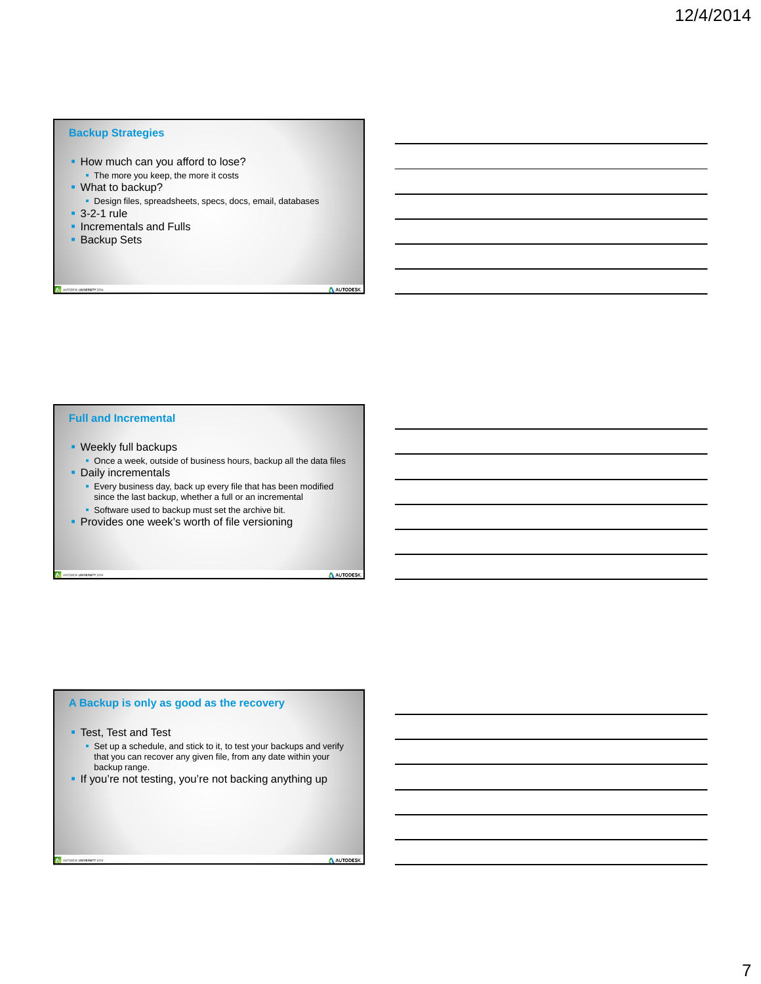#### **Backup Strategies**

- **How much can you afford to lose?** The more you keep, the more it costs
- What to backup?
- Design files, spreadsheets, specs, docs, email, databases
- 3-2-1 rule
- **Incrementals and Fulls**
- **Backup Sets**

A AUTODESK

#### **Full and Incremental**

- **Weekly full backups** 
	- Once a week, outside of business hours, backup all the data files
- **Daily incrementals**

TODESK UNIVERSITY 2014

- **Every business day, back up every file that has been modified** since the last backup, whether a full or an incremental
- **Software used to backup must set the archive bit.**
- **Provides one week's worth of file versioning**

A AUTODESK

#### **A Backup is only as good as the recovery**

**Test, Test and Test** 

UNIVERSITY 2014

- Set up a schedule, and stick to it, to test your backups and verify that you can recover any given file, from any date within your backup range.
- If you're not testing, you're not backing anything up

AUTODESK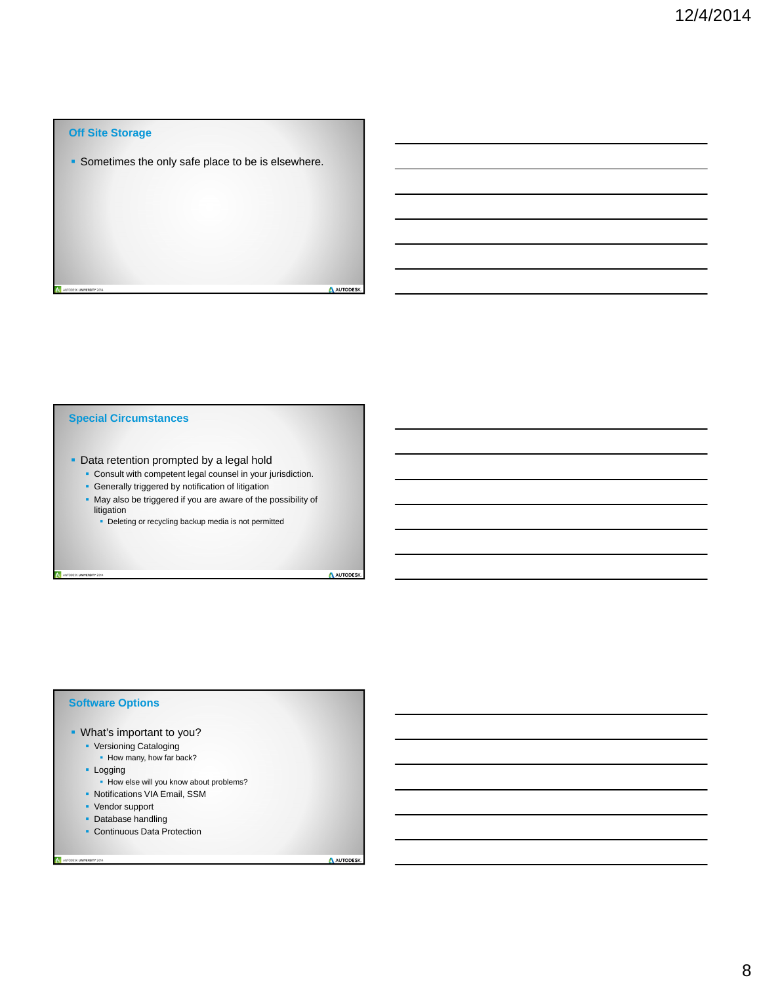#### **Off Site Storage**

**Sometimes the only safe place to be is elsewhere.** 

#### **Special Circumstances**

- **-** Data retention prompted by a legal hold
	- Consult with competent legal counsel in your jurisdiction.
	- **Generally triggered by notification of litigation**
	- May also be triggered if you are aware of the possibility of litigation
		- **-** Deleting or recycling backup media is not permitted

A AUTODESK

A AUTODESK

#### **Software Options**

UTODESK UNIVERSITY 2014

- What's important to you?
	- **Versioning Cataloging** 
		- How many, how far back?
	- **Logging**

UNIVERSITY 2014

- How else will you know about problems?
- Notifications VIA Email, SSM
- Vendor support
- **Database handling**
- **Continuous Data Protection**

AUTODESK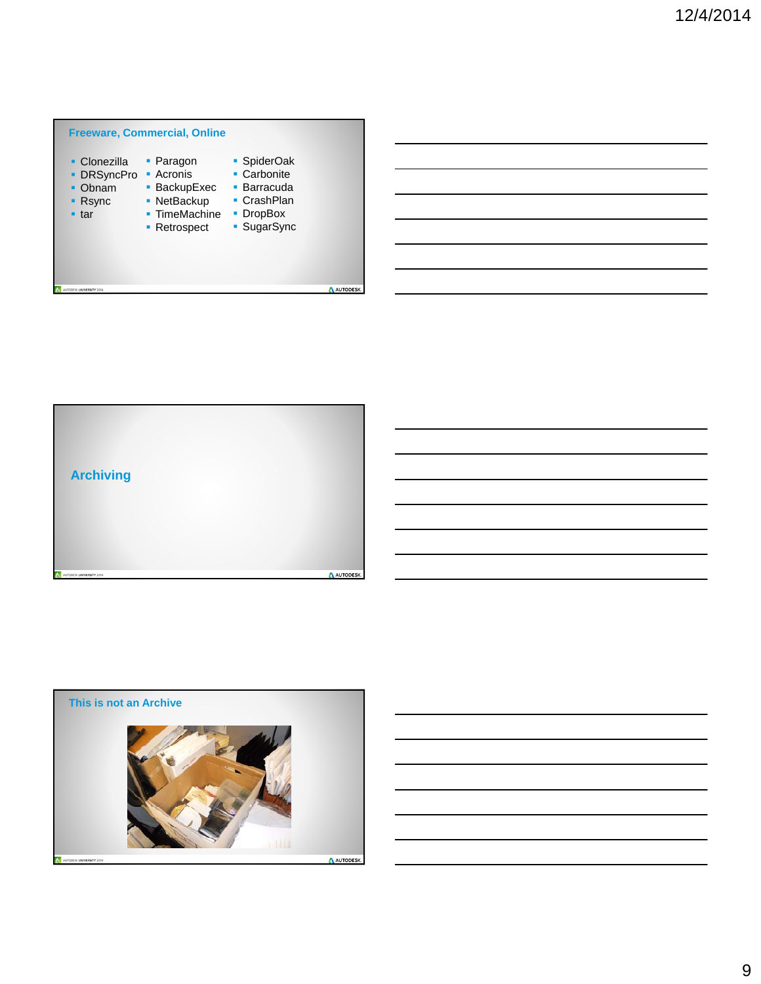



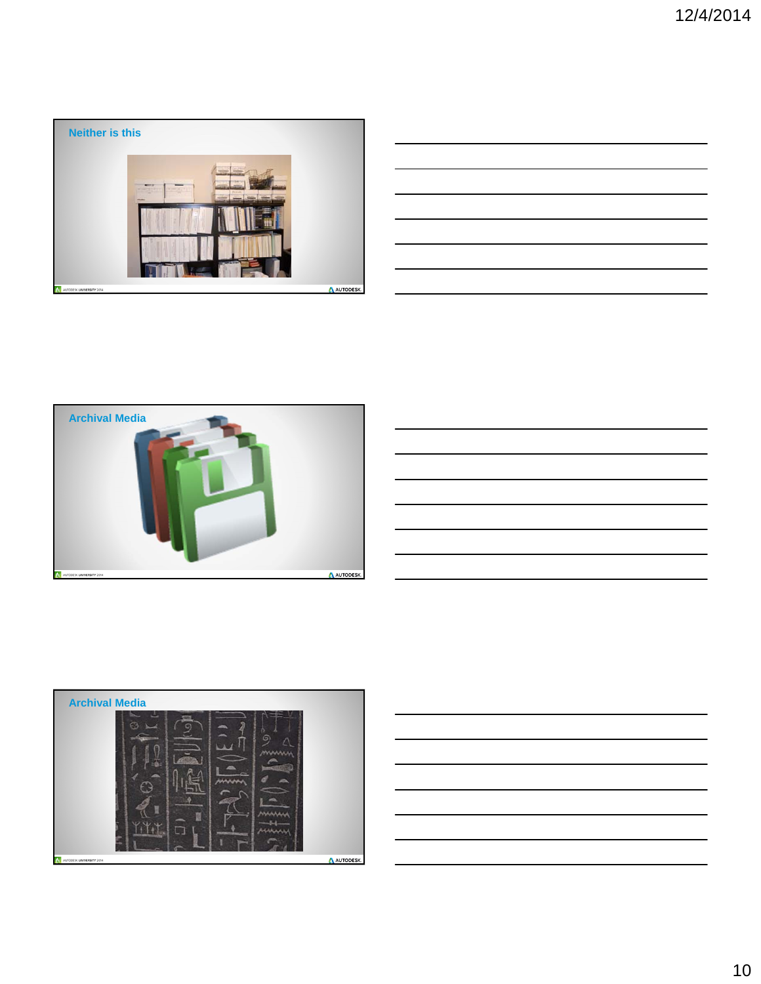

|                                                                                  |  | ________                 |
|----------------------------------------------------------------------------------|--|--------------------------|
|                                                                                  |  |                          |
|                                                                                  |  |                          |
| <u> 1989 - Andrea Andrew Maria (h. 1989).</u>                                    |  |                          |
|                                                                                  |  |                          |
|                                                                                  |  | $\overline{\phantom{a}}$ |
|                                                                                  |  |                          |
| ,我们也不会有什么?""我们的人,我们也不会有什么?""我们的人,我们也不会有什么?""我们的人,我们也不会有什么?""我们的人,我们也不会有什么?""我们的人 |  | ______                   |
|                                                                                  |  |                          |
|                                                                                  |  |                          |







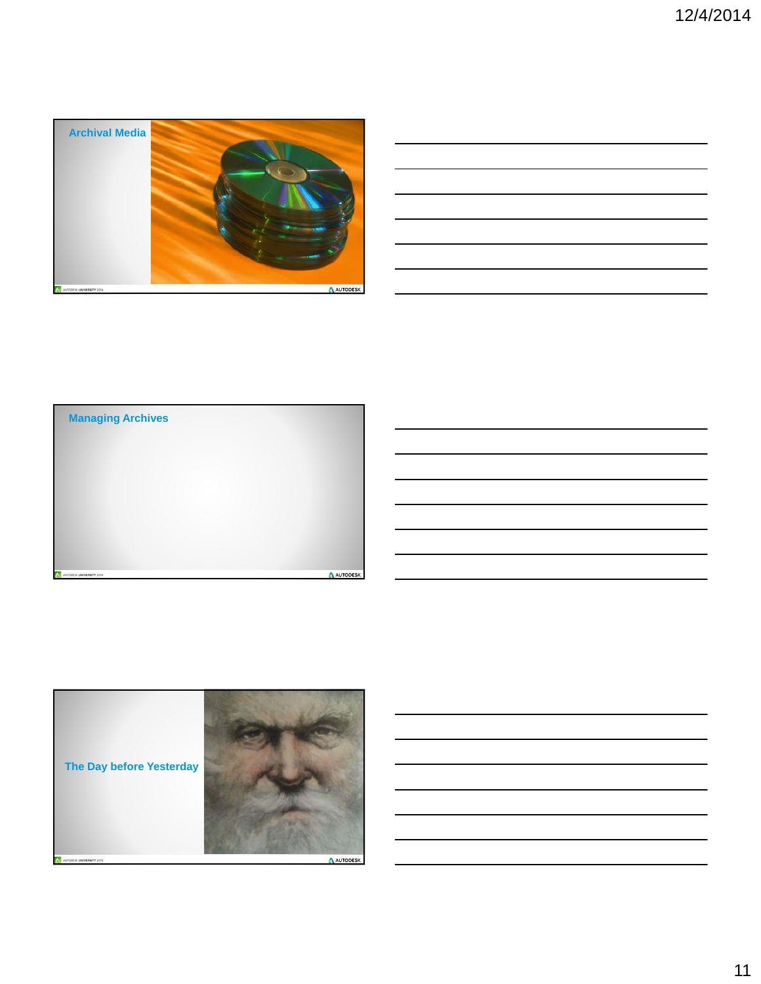

| <u> 1989 - Johann Harry Harry Harry Harry Harry Harry Harry Harry Harry Harry Harry Harry Harry Harry Harry Harry</u> |  |  |
|-----------------------------------------------------------------------------------------------------------------------|--|--|
| <u> 1989 - Andrea Santa Andrea Andrea Andrea Andrea Andrea Andrea Andrea Andrea Andrea Andrea Andrea Andrea Andr</u>  |  |  |
| <u> 1989 - Johann Stoff, deutscher Stoff, der Stoff, der Stoff, der Stoff, der Stoff, der Stoff, der Stoff, der S</u> |  |  |
| <u> 1989 - Johann Stoff, amerikansk politiker (d. 1989)</u>                                                           |  |  |
| <u> 1989 - Johann Harry Harry Harry Harry Harry Harry Harry Harry Harry Harry Harry Harry Harry Harry Harry Harry</u> |  |  |
| <u> 1989 - Johann Barn, amerikan bernama di sebagai bernama dan bernama di sebagai bernama di sebagai bernama di</u>  |  |  |
|                                                                                                                       |  |  |



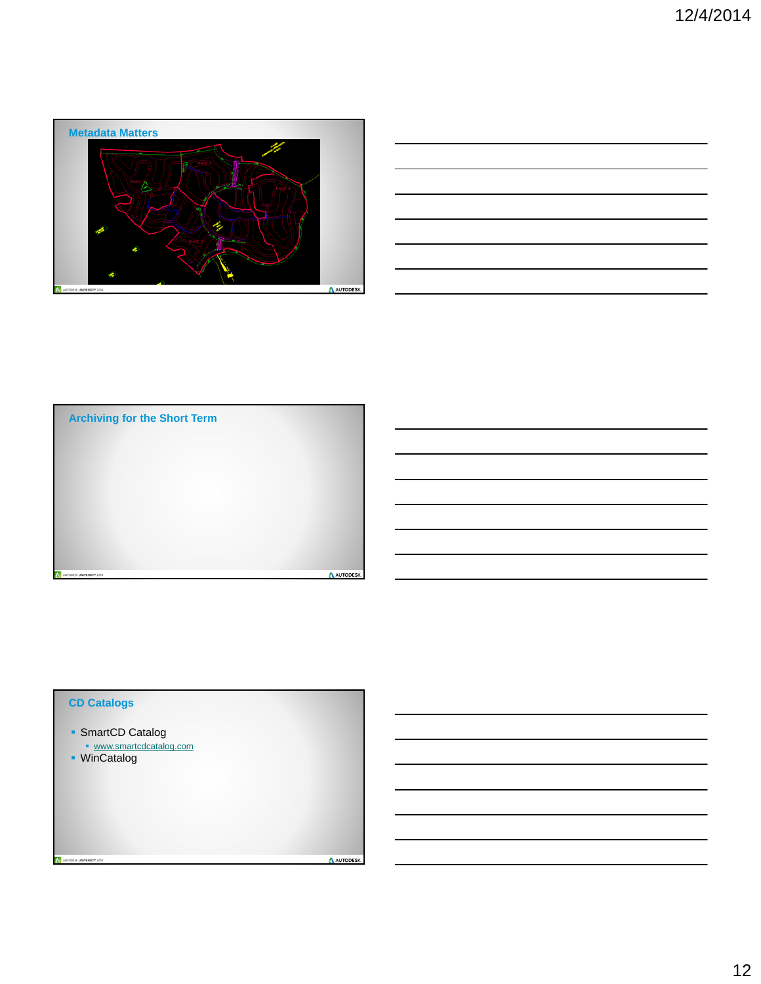





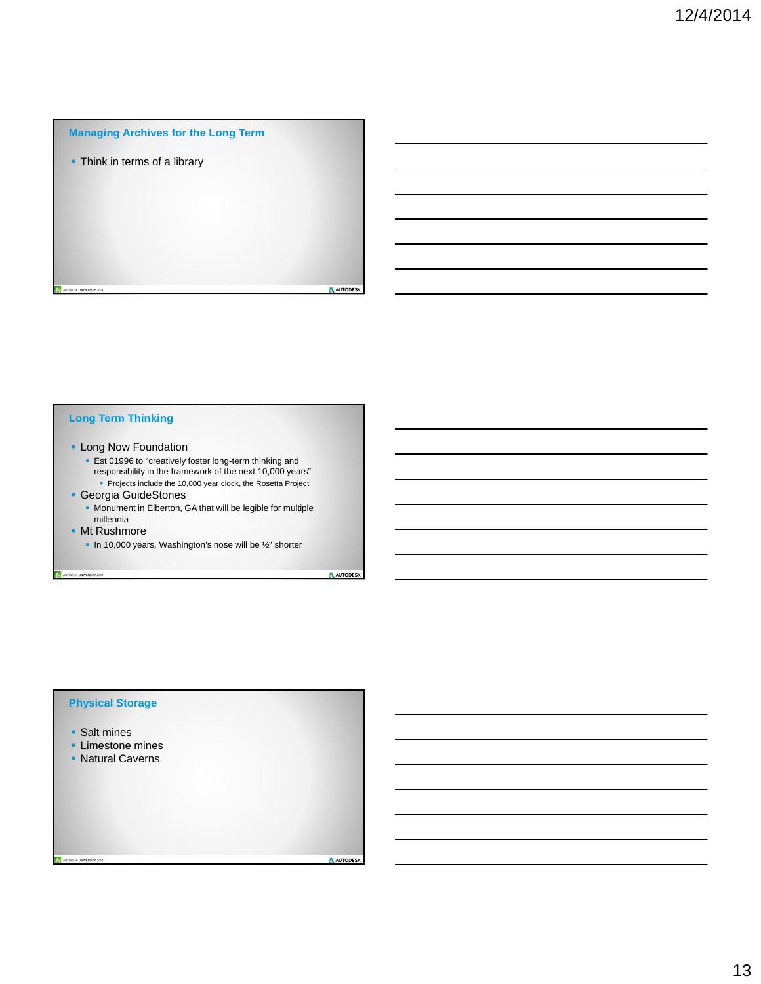#### **Managing Archives for the Long Term**

**- Think in terms of a library** 

#### **Long Term Thinking**

- **Long Now Foundation** 
	- **Est 01996 to "creatively foster long-term thinking and** responsibility in the framework of the next 10,000 years"
	- Projects include the 10,000 year clock, the Rosetta Project
- Georgia GuideStones
	- Monument in Elberton, GA that will be legible for multiple millennia
- **Mt Rushmore**

AUTODESK UNIVERSITY 2014

In 10,000 years, Washington's nose will be  $\frac{1}{2}$ " shorter

A AUTODESK

A AUTODESK

#### **Physical Storage**

**Salt mines** 

...<br>SK **UNIVERSITY** 2014

- **Limestone mines**
- **Natural Caverns**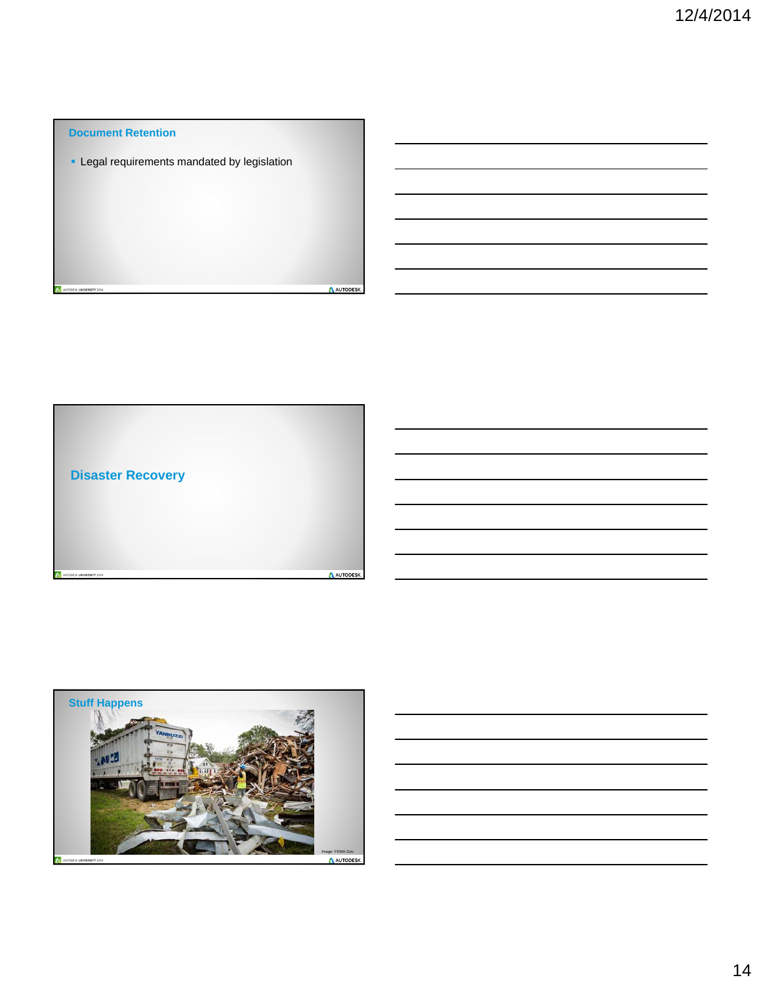# **Document Retention - Legal requirements mandated by legislation** AUTODESK.



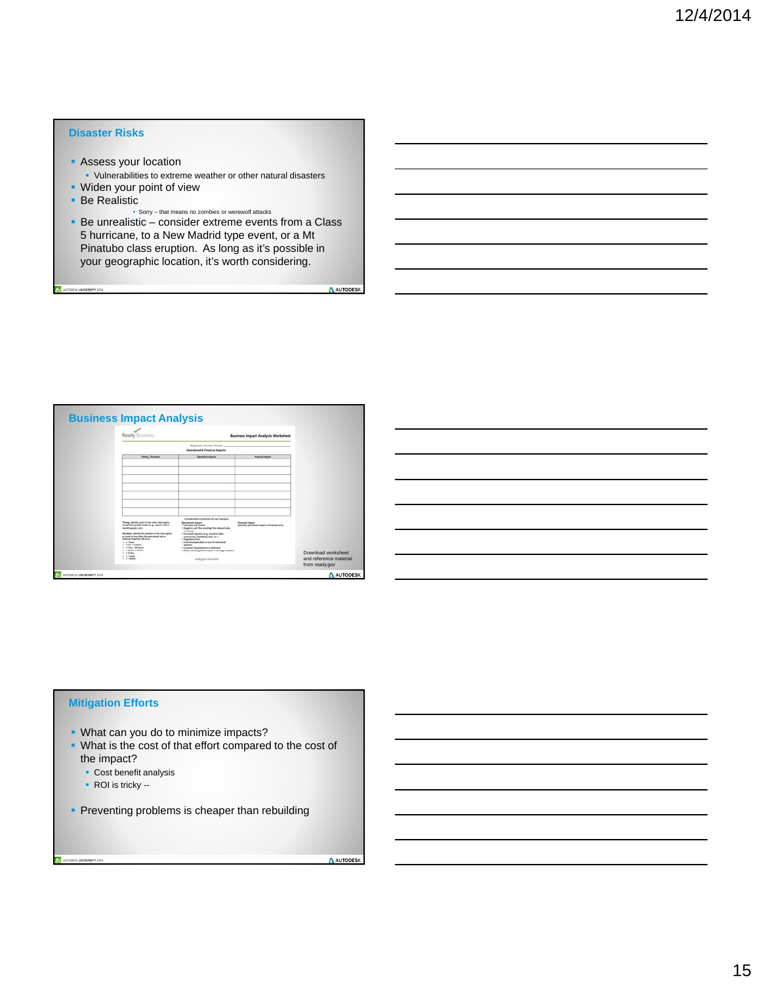#### **Disaster Risks**

- **Assess your location** Vulnerabilities to extreme weather or other natural disasters
- **Widen your point of view**
- Be Realistic

SK UNIVERSITY 2014

 Sorry – that means no zombies or werewolf attacks Be unrealistic – consider extreme events from a Class 5 hurricane, to a New Madrid type event, or a Mt Pinatubo class eruption. As long as it's possible in your geographic location, it's worth considering.

AUTODESK.

AUTODESK.

| Ready Business                                                                                                                                                                                                                   |                                                                                                                                                                                                                                                         | <b>Business Impact Analysis Worksheet</b>                            |                                                                |
|----------------------------------------------------------------------------------------------------------------------------------------------------------------------------------------------------------------------------------|---------------------------------------------------------------------------------------------------------------------------------------------------------------------------------------------------------------------------------------------------------|----------------------------------------------------------------------|----------------------------------------------------------------|
|                                                                                                                                                                                                                                  | Department / Function / Process<br>Operational & Financial Impacts                                                                                                                                                                                      |                                                                      |                                                                |
| <b>Toring / Standler</b>                                                                                                                                                                                                         | <b>Operation Inquirity</b>                                                                                                                                                                                                                              | <b><i><u>Please let Impert</u></i></b>                               |                                                                |
| Teeng Stellity paint in time what storrighten-<br>would have greater impact in g., seems, and of<br>month/guarter, als 3<br>Bandless, Markety the Auraison of the interingition                                                  | Epositewhere instrumes for your business!<br><b>Operational Impacts</b><br>. List site and more<br>· Regative cash flow resulting from delegant cales<br>ar months<br>· Increased expresses in g., marking falses.                                      | <b>Financial Impact</b><br>Quantly spectrand means in Roam of terms. |                                                                |
| as paint in time when the operational and on<br>financial measuring will as out<br>$+$ +1 kms<br>a cities of thoses<br>+ address additionals<br>$n = 240$ for $n = 220$ for $n = 1$<br>$+$ + EFm<br>$ +$ $+$ $-$<br>$+15$ month. | definesting, experiting costs, etc. 5<br>· Regulatory Road<br>· Continentual perturban or here of continentual<br>Edelphia<br>Customer dissolvination or defection<br>· Entity manualing business after or straings telligible.<br>lotady grey/business |                                                                      | Download worksheet<br>and reference material<br>from ready.gov |

#### **Mitigation Efforts**

- **-** What can you do to minimize impacts?
- What is the cost of that effort compared to the cost of the impact?
	- Cost benefit analysis
	- ROI is tricky --

ESK UNIVERSITY 2014

**Preventing problems is cheaper than rebuilding**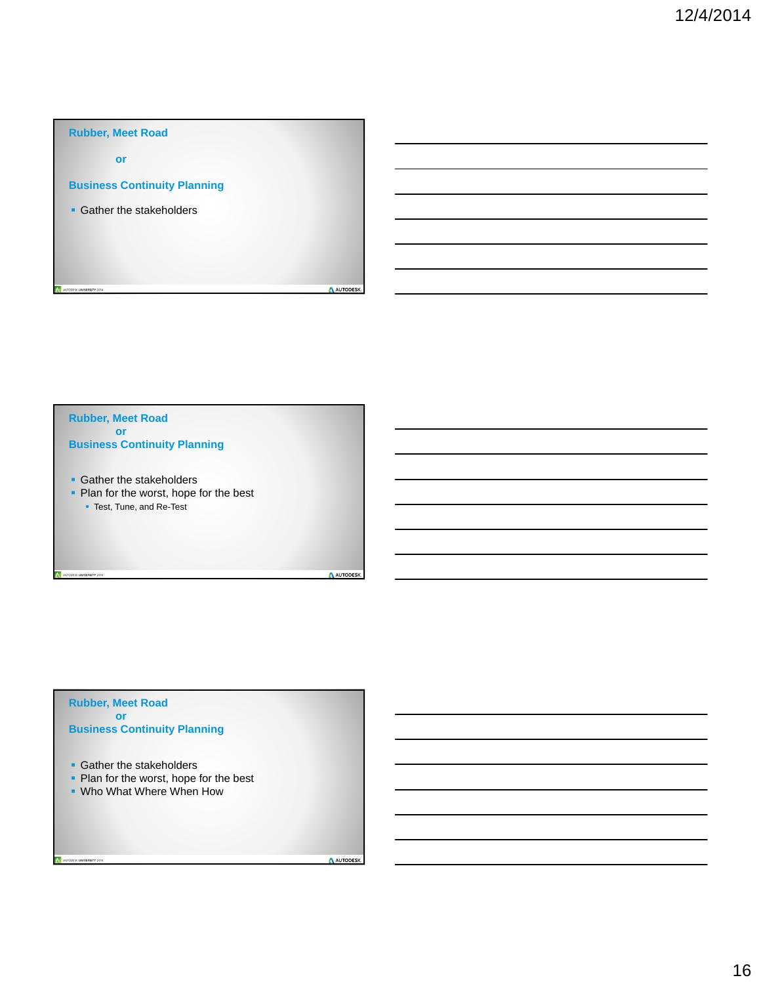

## **Gather the stakeholders** • Plan for the worst, hope for the best **Test, Tune, and Re-Test Rubber, Meet Road or Business Continuity Planning**

#### **Rubber, Meet Road or Business Continuity Planning**

AUTODESK UNIVERSITY 2014

**Gather the stakeholders** 

DESK UNIVERSITY 2014

- Plan for the worst, hope for the best
- **.** Who What Where When How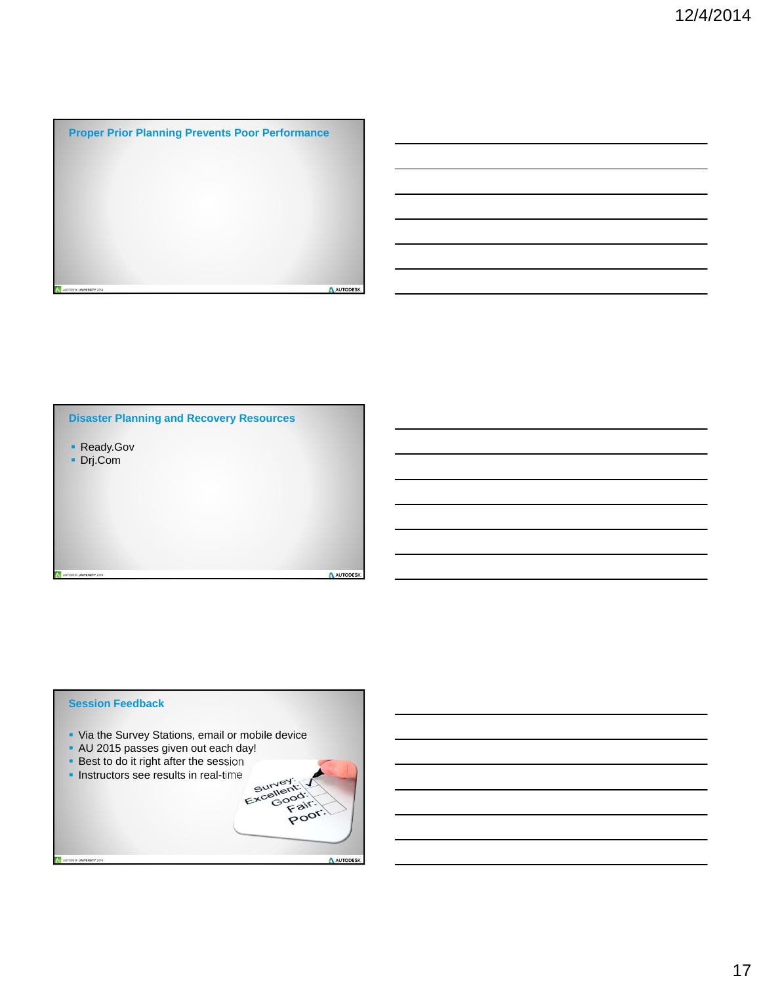